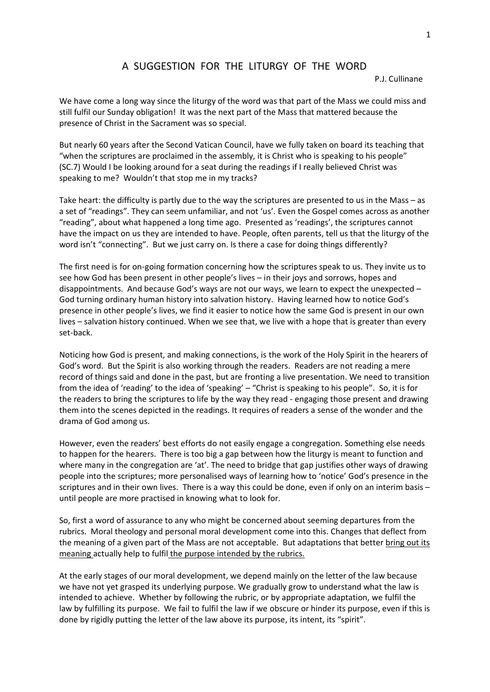## A SUGGESTION FOR THE LITURGY OF THE WORD

P.J. Cullinane

We have come a long way since the liturgy of the word was that part of the Mass we could miss and still fulfil our Sunday obligation! It was the next part of the Mass that mattered because the presence of Christ in the Sacrament was so special.

But nearly 60 years after the Second Vatican Council, have we fully taken on board its teaching that "when the scriptures are proclaimed in the assembly, it is Christ who is speaking to his people" (SC.7) Would I be looking around for a seat during the readings if I really believed Christ was speaking to me? Wouldn't that stop me in my tracks?

Take heart: the difficulty is partly due to the way the scriptures are presented to us in the Mass – as a set of "readings". They can seem unfamiliar, and not 'us'. Even the Gospel comes across as another "reading", about what happened a long time ago. Presented as 'readings', the scriptures cannot have the impact on us they are intended to have. People, often parents, tell us that the liturgy of the word isn't "connecting". But we just carry on. Is there a case for doing things differently?

The first need is for on-going formation concerning how the scriptures speak to us. They invite us to see how God has been present in other people's lives – in their joys and sorrows, hopes and disappointments. And because God's ways are not our ways, we learn to expect the unexpected – God turning ordinary human history into salvation history. Having learned how to notice God's presence in other people's lives, we find it easier to notice how the same God is present in our own lives – salvation history continued. When we see that, we live with a hope that is greater than every set-back.

Noticing how God is present, and making connections, is the work of the Holy Spirit in the hearers of God's word. But the Spirit is also working through the readers. Readers are not reading a mere record of things said and done in the past, but are fronting a live presentation. We need to transition from the idea of 'reading' to the idea of 'speaking' – "Christ is speaking to his people". So, it is for the readers to bring the scriptures to life by the way they read - engaging those present and drawing them into the scenes depicted in the readings. It requires of readers a sense of the wonder and the drama of God among us.

However, even the readers' best efforts do not easily engage a congregation. Something else needs to happen for the hearers. There is too big a gap between how the liturgy is meant to function and where many in the congregation are 'at'. The need to bridge that gap justifies other ways of drawing people into the scriptures; more personalised ways of learning how to 'notice' God's presence in the scriptures and in their own lives. There is a way this could be done, even if only on an interim basis – until people are more practised in knowing what to look for.

So, first a word of assurance to any who might be concerned about seeming departures from the rubrics. Moral theology and personal moral development come into this. Changes that deflect from the meaning of a given part of the Mass are not acceptable. But adaptations that better bring out its meaning actually help to fulfil the purpose intended by the rubrics.

At the early stages of our moral development, we depend mainly on the letter of the law because we have not yet grasped its underlying purpose. We gradually grow to understand what the law is intended to achieve. Whether by following the rubric, or by appropriate adaptation, we fulfil the law by fulfilling its purpose. We fail to fulfil the law if we obscure or hinder its purpose, even if this is done by rigidly putting the letter of the law above its purpose, its intent, its "spirit".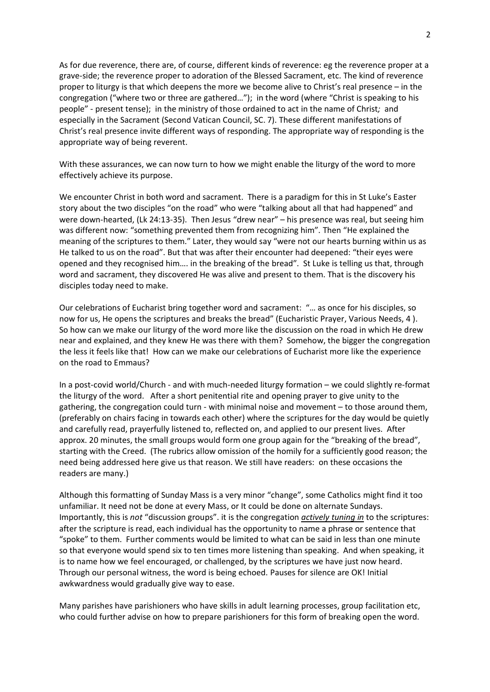As for due reverence, there are, of course, different kinds of reverence: eg the reverence proper at a grave-side; the reverence proper to adoration of the Blessed Sacrament, etc. The kind of reverence proper to liturgy is that which deepens the more we become alive to Christ's real presence – in the congregation ("where two or three are gathered…"); in the word (where "Christ is speaking to his people" - present tense); in the ministry of those ordained to act in the name of Christ*;* and especially in the Sacrament (Second Vatican Council, SC. 7). These different manifestations of Christ's real presence invite different ways of responding. The appropriate way of responding is the appropriate way of being reverent.

With these assurances, we can now turn to how we might enable the liturgy of the word to more effectively achieve its purpose.

We encounter Christ in both word and sacrament. There is a paradigm for this in St Luke's Easter story about the two disciples "on the road" who were "talking about all that had happened" and were down-hearted, (Lk 24:13-35). Then Jesus "drew near" – his presence was real, but seeing him was different now: "something prevented them from recognizing him". Then "He explained the meaning of the scriptures to them." Later, they would say "were not our hearts burning within us as He talked to us on the road". But that was after their encounter had deepened: "their eyes were opened and they recognised him…. in the breaking of the bread". St Luke is telling us that, through word and sacrament, they discovered He was alive and present to them. That is the discovery his disciples today need to make.

Our celebrations of Eucharist bring together word and sacrament: "… as once for his disciples, so now for us, He opens the scriptures and breaks the bread" (Eucharistic Prayer, Various Needs, 4 ). So how can we make our liturgy of the word more like the discussion on the road in which He drew near and explained, and they knew He was there with them? Somehow, the bigger the congregation the less it feels like that! How can we make our celebrations of Eucharist more like the experience on the road to Emmaus?

In a post-covid world/Church - and with much-needed liturgy formation – we could slightly re-format the liturgy of the word. After a short penitential rite and opening prayer to give unity to the gathering, the congregation could turn - with minimal noise and movement – to those around them, (preferably on chairs facing in towards each other) where the scriptures for the day would be quietly and carefully read, prayerfully listened to, reflected on, and applied to our present lives. After approx. 20 minutes, the small groups would form one group again for the "breaking of the bread", starting with the Creed. (The rubrics allow omission of the homily for a sufficiently good reason; the need being addressed here give us that reason. We still have readers: on these occasions the readers are many.)

Although this formatting of Sunday Mass is a very minor "change", some Catholics might find it too unfamiliar. It need not be done at every Mass, or It could be done on alternate Sundays. Importantly, this is *not* "discussion groups". it is the congregation *actively tuning in* to the scriptures: after the scripture is read, each individual has the opportunity to name a phrase or sentence that "spoke" to them. Further comments would be limited to what can be said in less than one minute so that everyone would spend six to ten times more listening than speaking. And when speaking, it is to name how we feel encouraged, or challenged, by the scriptures we have just now heard. Through our personal witness, the word is being echoed. Pauses for silence are OK! Initial awkwardness would gradually give way to ease.

Many parishes have parishioners who have skills in adult learning processes, group facilitation etc, who could further advise on how to prepare parishioners for this form of breaking open the word.